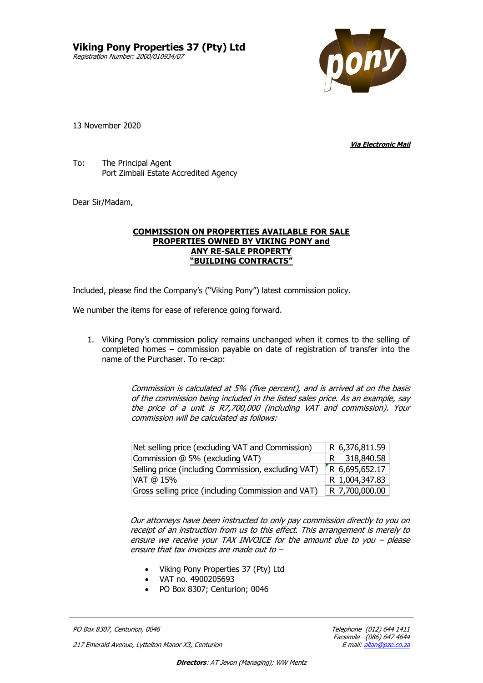**Viking Pony Properties 37 (Pty) Ltd** Registration Number: 2000/010934/07



13 November 2020

**Via Electronic Mail**

To: The Principal Agent Port Zimbali Estate Accredited Agency

Dear Sir/Madam,

## **COMMISSION ON PROPERTIES AVAILABLE FOR SALE PROPERTIES OWNED BY VIKING PONY and ANY RE-SALE PROPERTY "BUILDING CONTRACTS"**

Included, please find the Company's ("Viking Pony") latest commission policy.

We number the items for ease of reference going forward.

1. Viking Pony's commission policy remains unchanged when it comes to the selling of completed homes – commission payable on date of registration of transfer into the name of the Purchaser. To re-cap:

> Commission is calculated at 5% (five percent), and is arrived at on the basis of the commission being included in the listed sales price. As an example, say the price of a unit is R7,700,000 (including VAT and commission). Your commission will be calculated as follows:

| Net selling price (excluding VAT and Commission)    | R 6,376,811.59 |
|-----------------------------------------------------|----------------|
| Commission @ 5% (excluding VAT)                     | R 318,840.58   |
| Selling price (including Commission, excluding VAT) | R 6,695,652.17 |
| VAT @ 15%                                           | R 1,004,347.83 |
| Gross selling price (including Commission and VAT)  | R 7,700,000.00 |

Our attorneys have been instructed to only pay commission directly to you on receipt of an instruction from us to this effect. This arrangement is merely to ensure we receive your TAX INVOICE for the amount due to you – please ensure that tax invoices are made out to –

- Viking Pony Properties 37 (Pty) Ltd
- VAT no. 4900205693
- PO Box 8307; Centurion; 0046

PO Box 8307, Centurion, 0046 **Telephone (012)** 644 1411

217 Emerald Avenue, Lyttelton Manor X3, Centurion

Facsimile (086) 647<br>E mail: <u>allan@pze.co.za</u>